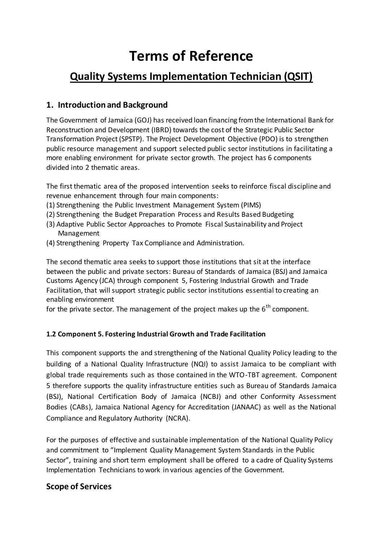# **Terms of Reference**

# **Quality Systems Implementation Technician (QSIT)**

### **1. Introduction and Background**

The Government of Jamaica (GOJ) has received loan financing from the International Bank for Reconstruction and Development (IBRD) towards the cost of the Strategic Public Sector Transformation Project (SPSTP). The Project Development Objective (PDO) is to strengthen public resource management and support selected public sector institutions in facilitating a more enabling environment for private sector growth. The project has 6 components divided into 2 thematic areas.

The first thematic area of the proposed intervention seeks to reinforce fiscal discipline and revenue enhancement through four main components:

- (1) Strengthening the Public Investment Management System (PIMS)
- (2) Strengthening the Budget Preparation Process and Results Based Budgeting
- (3) Adaptive Public Sector Approaches to Promote Fiscal Sustainability and Project Management
- (4) Strengthening Property Tax Compliance and Administration.

The second thematic area seeks to support those institutions that sit at the interface between the public and private sectors: Bureau of Standards of Jamaica (BSJ) and Jamaica Customs Agency (JCA) through component 5, Fostering Industrial Growth and Trade Facilitation, that will support strategic public sector institutions essential to creating an enabling environment

for the private sector. The management of the project makes up the  $6<sup>th</sup>$  component.

#### **1.2 Component 5. Fostering Industrial Growth and Trade Facilitation**

This component supports the and strengthening of the National Quality Policy leading to the building of a National Quality Infrastructure (NQI) to assist Jamaica to be compliant with global trade requirements such as those contained in the WTO-TBT agreement. Component 5 therefore supports the quality infrastructure entities such as Bureau of Standards Jamaica (BSJ), National Certification Body of Jamaica (NCBJ) and other Conformity Assessment Bodies (CABs), Jamaica National Agency for Accreditation (JANAAC) as well as the National Compliance and Regulatory Authority (NCRA).

For the purposes of effective and sustainable implementation of the National Quality Policy and commitment to "Implement Quality Management System Standards in the Public Sector", training and short term employment shall be offered to a cadre of Quality Systems Implementation Technicians to work in various agencies of the Government.

#### **Scope of Services**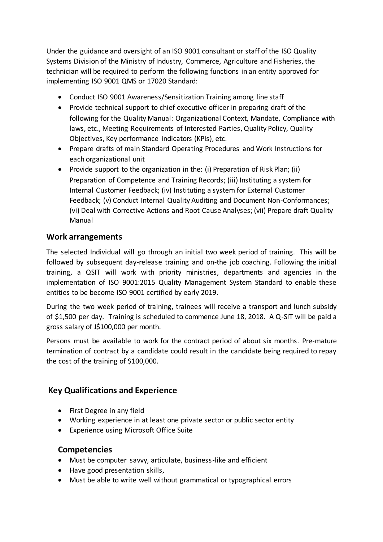Under the guidance and oversight of an ISO 9001 consultant or staff of the ISO Quality Systems Division of the Ministry of Industry, Commerce, Agriculture and Fisheries, the technician will be required to perform the following functions in an entity approved for implementing ISO 9001 QMS or 17020 Standard:

- Conduct ISO 9001 Awareness/Sensitization Training among line staff
- Provide technical support to chief executive officer in preparing draft of the following for the Quality Manual: Organizational Context, Mandate, Compliance with laws, etc., Meeting Requirements of Interested Parties, Quality Policy, Quality Objectives, Key performance indicators (KPIs), etc.
- Prepare drafts of main Standard Operating Procedures and Work Instructions for each organizational unit
- Provide support to the organization in the: (i) Preparation of Risk Plan; (ii) Preparation of Competence and Training Records; (iii) Instituting a system for Internal Customer Feedback; (iv) Instituting a system for External Customer Feedback; (v) Conduct Internal Quality Auditing and Document Non-Conformances; (vi) Deal with Corrective Actions and Root Cause Analyses; (vii) Prepare draft Quality Manual

#### **Work arrangements**

The selected Individual will go through an initial two week period of training. This will be followed by subsequent day-release training and on-the job coaching. Following the initial training, a QSIT will work with priority ministries, departments and agencies in the implementation of ISO 9001:2015 Quality Management System Standard to enable these entities to be become ISO 9001 certified by early 2019.

During the two week period of training, trainees will receive a transport and lunch subsidy of \$1,500 per day. Training is scheduled to commence June 18, 2018. A Q-SIT will be paid a gross salary of J\$100,000 per month.

Persons must be available to work for the contract period of about six months. Pre-mature termination of contract by a candidate could result in the candidate being required to repay the cost of the training of \$100,000.

#### **Key Qualifications and Experience**

- First Degree in any field
- Working experience in at least one private sector or public sector entity
- Experience using Microsoft Office Suite

#### **Competencies**

- Must be computer savvy, articulate, business-like and efficient
- Have good presentation skills,
- Must be able to write well without grammatical or typographical errors